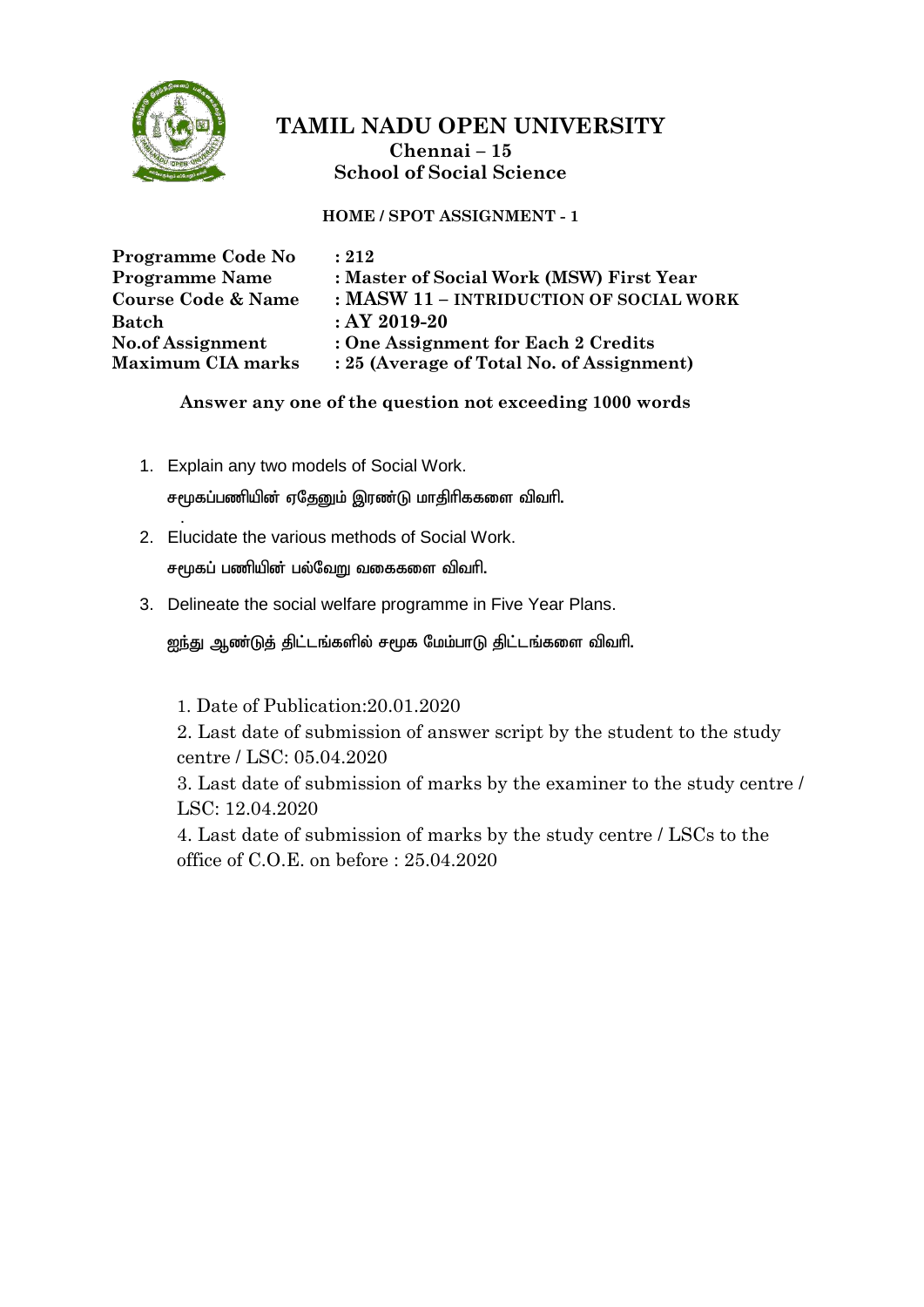

#### **HOME / SPOT ASSIGNMENT - 1**

| Programme Code No             | : 212                                     |
|-------------------------------|-------------------------------------------|
| <b>Programme Name</b>         | : Master of Social Work (MSW) First Year  |
| <b>Course Code &amp; Name</b> | : MASW 11 - INTRIDUCTION OF SOCIAL WORK   |
| <b>Batch</b>                  | $:AY2019-20$                              |
| <b>No.of Assignment</b>       | : One Assignment for Each 2 Credits       |
| <b>Maximum CIA marks</b>      | : 25 (Average of Total No. of Assignment) |

#### **Answer any one of the question not exceeding 1000 words**

- 1. Explain any two models of Social Work.  $r$ மூகப்பணியின் ஏதேனும் இரண்டு மாதிரிககளை விவரி. .
- 2. Elucidate the various methods of Social Work.  $r$ மூகப் பணியின் பல்வேறு வகைகளை விவரி.
- 3. Delineate the social welfare programme in Five Year Plans.

<u>ஜந்து ஆண்டுத் திட்டங்களில் சமூக மேம்பாடு திட்டங்களை விவரி.</u>

1. Date of Publication:20.01.2020

2. Last date of submission of answer script by the student to the study centre / LSC: 05.04.2020

3. Last date of submission of marks by the examiner to the study centre / LSC: 12.04.2020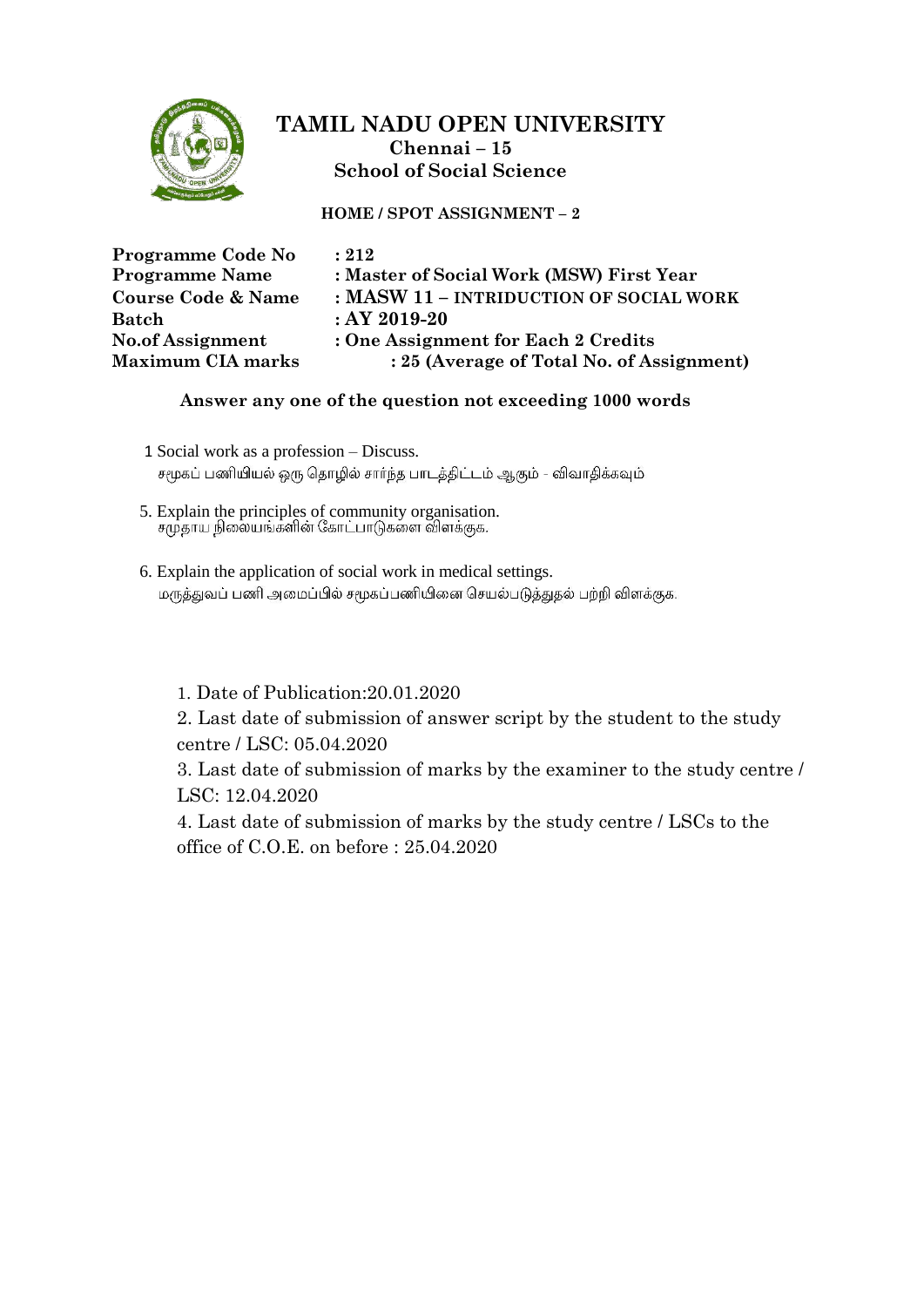

**HOME / SPOT ASSIGNMENT – 2**

| Programme Code No        | : 212                                     |
|--------------------------|-------------------------------------------|
| <b>Programme Name</b>    | : Master of Social Work (MSW) First Year  |
| Course Code & Name       | : MASW 11 - INTRIDUCTION OF SOCIAL WORK   |
| Batch                    | $:AY2019-20$                              |
| No.of Assignment         | : One Assignment for Each 2 Credits       |
| <b>Maximum CIA marks</b> | : 25 (Average of Total No. of Assignment) |

#### **Answer any one of the question not exceeding 1000 words**

- 1 Social work as a profession Discuss. சமூகப் பணியியல் ஒரு தொழில் சார்ந்த பாடத்திட்டம் ஆகும் - விவாதிக்கவும்
- 5. Explain the principles of community organisation.
- 6. Explain the application of social work in medical settings. மருத்துவப் பணி அமைப்பில் சமூகப்பணியினை செயல்படுத்துதல் பற்றி விளக்குக.

1. Date of Publication:20.01.2020

2. Last date of submission of answer script by the student to the study centre / LSC: 05.04.2020

3. Last date of submission of marks by the examiner to the study centre / LSC: 12.04.2020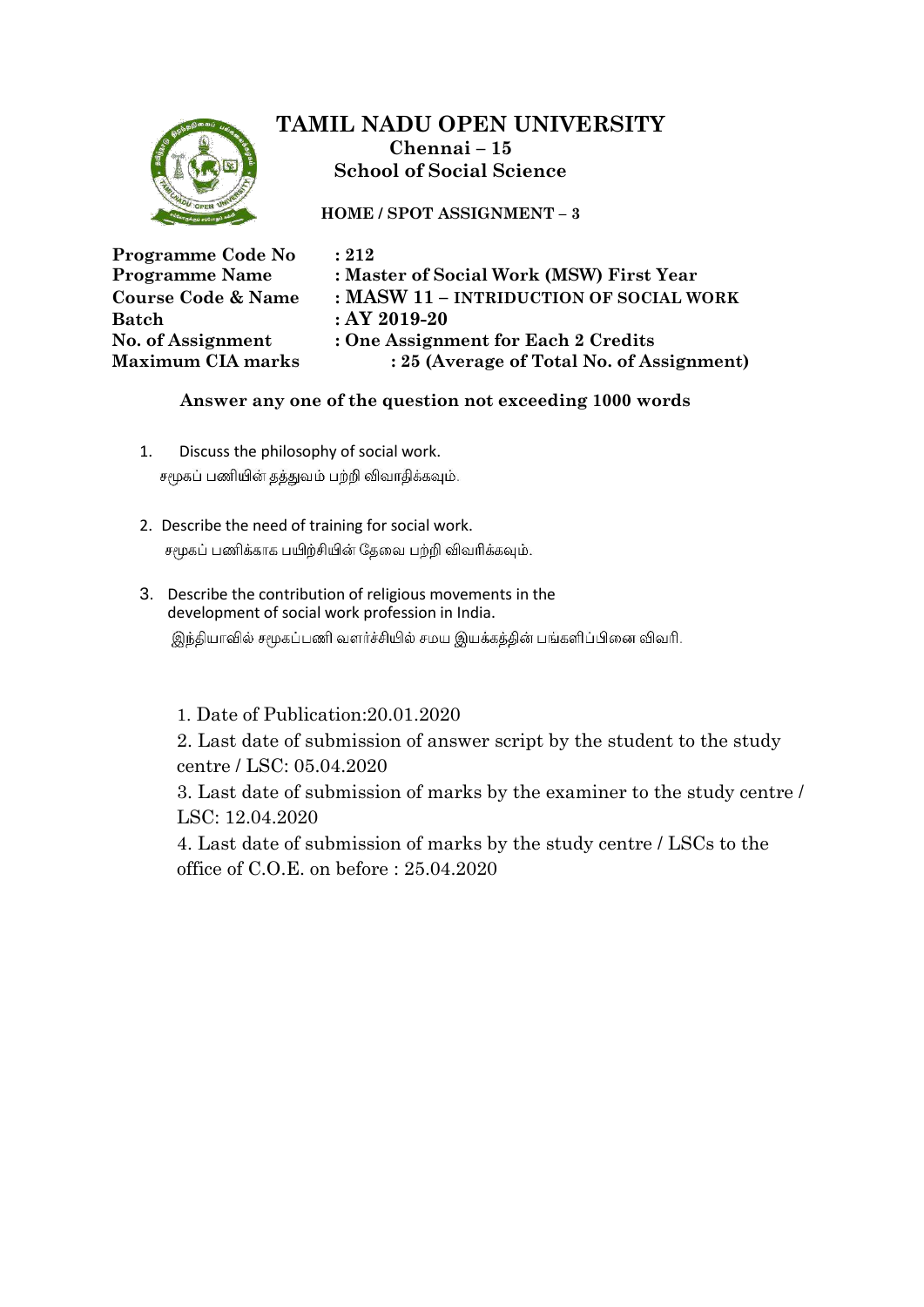

**HOME / SPOT ASSIGNMENT – 3**

| Programme Code No             | : 212                                     |
|-------------------------------|-------------------------------------------|
| <b>Programme Name</b>         | : Master of Social Work (MSW) First Year  |
| <b>Course Code &amp; Name</b> | : MASW 11 - INTRIDUCTION OF SOCIAL WORK   |
| <b>Batch</b>                  | $:AY2019-20$                              |
| No. of Assignment             | : One Assignment for Each 2 Credits       |
| <b>Maximum CIA marks</b>      | : 25 (Average of Total No. of Assignment) |

### **Answer any one of the question not exceeding 1000 words**

- 1. Discuss the philosophy of social work. சமூகப் பணியின் தத்துவம் பற்றி விவாதிக்கவும்.
- 2. Describe the need of training for social work. சமூகப் பணிக்காக பயிற்சியின் தேவை பற்றி விவரிக்கவும்.
- 3. Describe the contribution of religious movements in the development of social work profession in India.

இந்தியாவில் சமூகப்பணி வளர்ச்சியில் சமய இயக்கத்தின் பங்களிப்பினை விவரி.

1. Date of Publication:20.01.2020

2. Last date of submission of answer script by the student to the study centre / LSC: 05.04.2020

3. Last date of submission of marks by the examiner to the study centre / LSC: 12.04.2020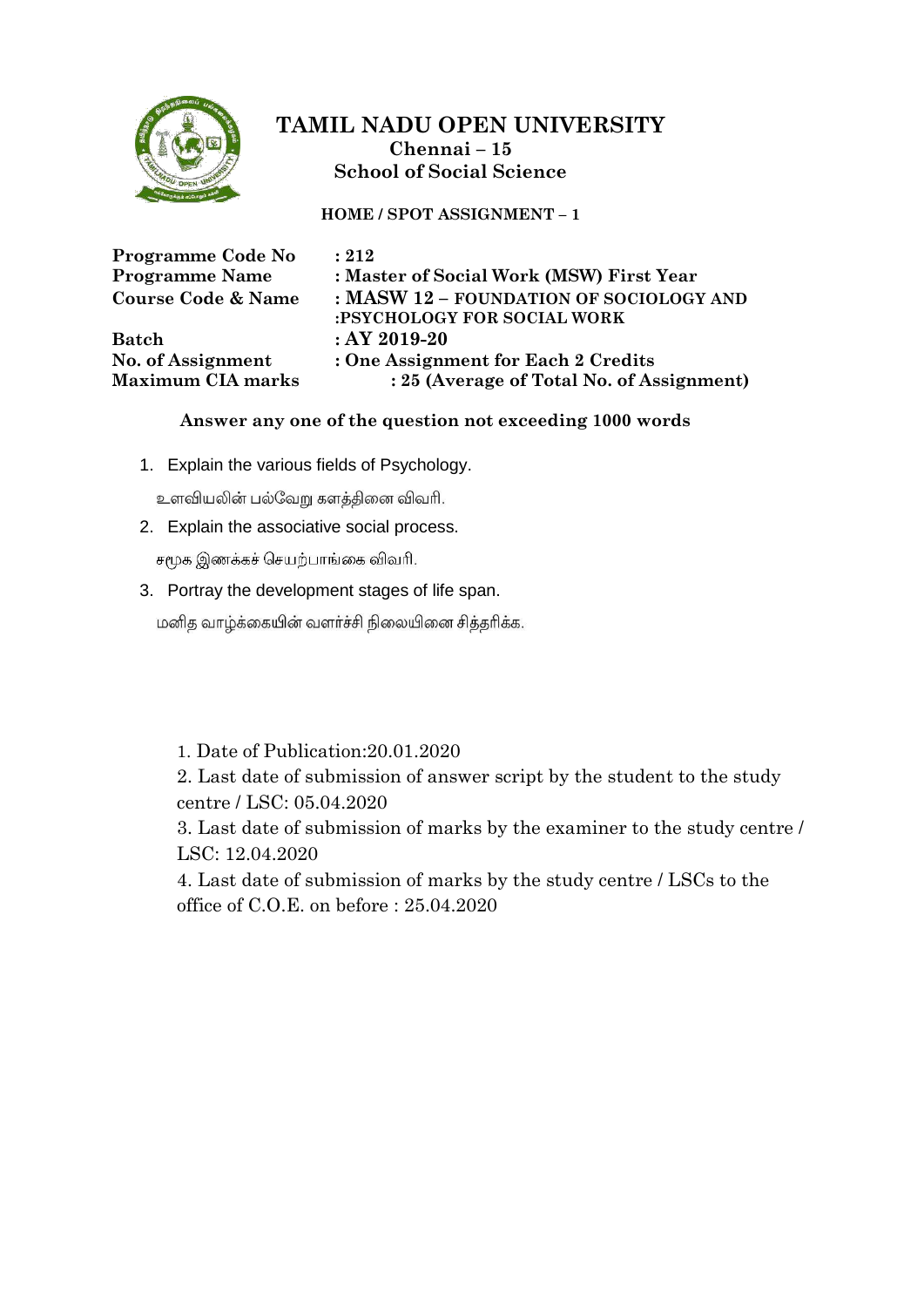

**HOME / SPOT ASSIGNMENT – 1**

| Programme Code No<br><b>Programme Name</b> | : 212<br>: Master of Social Work (MSW) First Year |
|--------------------------------------------|---------------------------------------------------|
|                                            |                                                   |
| <b>Course Code &amp; Name</b>              | : MASW 12 - FOUNDATION OF SOCIOLOGY AND           |
|                                            | :PSYCHOLOGY FOR SOCIAL WORK                       |
| <b>Batch</b>                               | $:AY2019-20$                                      |
| No. of Assignment                          | : One Assignment for Each 2 Credits               |
| <b>Maximum CIA marks</b>                   | : 25 (Average of Total No. of Assignment)         |

#### **Answer any one of the question not exceeding 1000 words**

1. Explain the various fields of Psychology.

உளவியலின் பல்வேறு களத்தினை விவரி.

2. Explain the associative social process.

சமூக இணக்கச் செயற்பாங்கை விவரி.

3. Portray the development stages of life span.

மனித வாழ்க்கையின் வளர்ச்சி நிலையினை சித்தரிக்க.

### 1. Date of Publication:20.01.2020

2. Last date of submission of answer script by the student to the study centre / LSC: 05.04.2020

3. Last date of submission of marks by the examiner to the study centre / LSC: 12.04.2020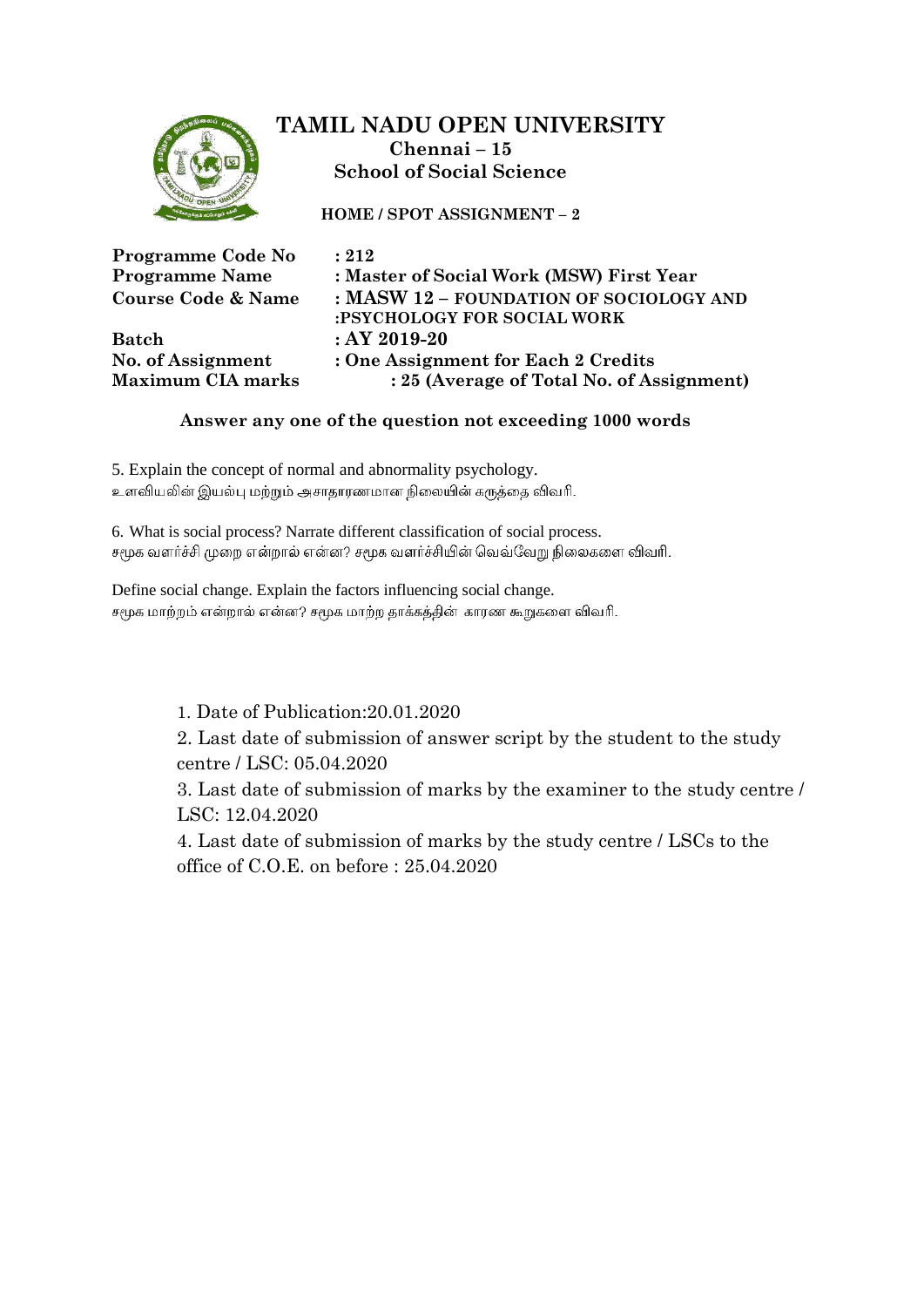

**HOME / SPOT ASSIGNMENT – 2**

| Programme Code No<br><b>Programme Name</b><br><b>Course Code &amp; Name</b> | : 212<br>: Master of Social Work (MSW) First Year<br>: MASW 12 - FOUNDATION OF SOCIOLOGY AND |
|-----------------------------------------------------------------------------|----------------------------------------------------------------------------------------------|
|                                                                             | :PSYCHOLOGY FOR SOCIAL WORK                                                                  |
| <b>Batch</b>                                                                | $:AY2019-20$                                                                                 |
| No. of Assignment                                                           | : One Assignment for Each 2 Credits                                                          |
| <b>Maximum CIA marks</b>                                                    | : 25 (Average of Total No. of Assignment)                                                    |

### **Answer any one of the question not exceeding 1000 words**

5. Explain the concept of normal and abnormality psychology. உளவியலின் இயல்பு மற்றும் அசாதாரணமான நிலையின் கருத்தை விவரி.

6. What is social process? Narrate different classification of social process. சமூக வளர்ச்சி முறை என்றால் என்ன? சமூக வளர்ச்சியின் வெவ்வேறு நிலைகளை விவரி.

Define social change. Explain the factors influencing social change. சமூக மாற்றம் என்றால் என்ன? சமூக மாற்ற தாக்கத்தின் காரண கூறுகளை விவரி.

1. Date of Publication:20.01.2020

2. Last date of submission of answer script by the student to the study centre / LSC: 05.04.2020

3. Last date of submission of marks by the examiner to the study centre / LSC: 12.04.2020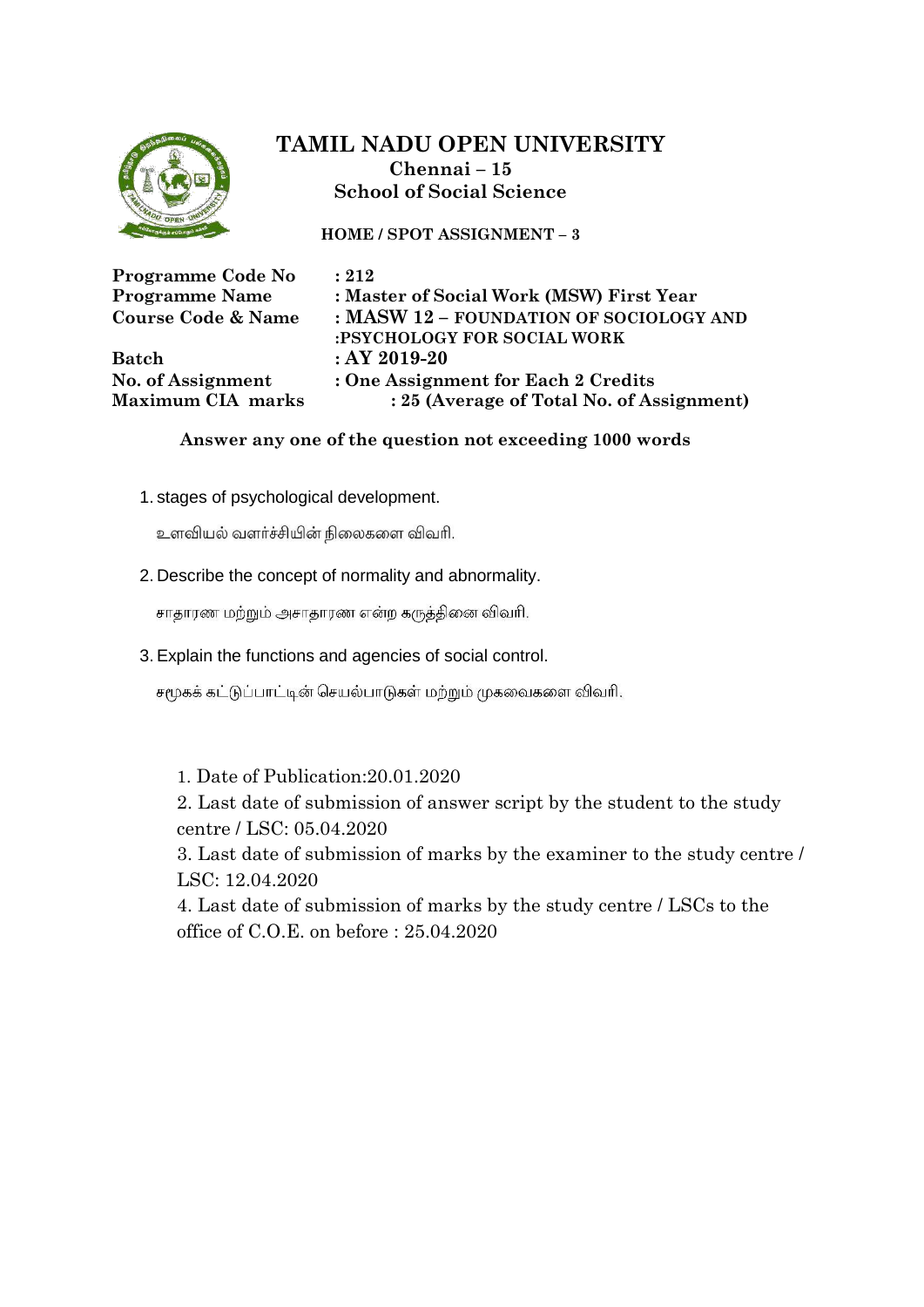

**HOME / SPOT ASSIGNMENT – 3**

| Programme Code No             | : 212                                                                  |
|-------------------------------|------------------------------------------------------------------------|
| <b>Programme Name</b>         | : Master of Social Work (MSW) First Year                               |
| <b>Course Code &amp; Name</b> | : MASW 12 - FOUNDATION OF SOCIOLOGY AND<br>:PSYCHOLOGY FOR SOCIAL WORK |
| <b>Batch</b>                  | $:AY2019-20$                                                           |
| No. of Assignment             | : One Assignment for Each 2 Credits                                    |
| Maximum CIA marks             | : 25 (Average of Total No. of Assignment)                              |

#### **Answer any one of the question not exceeding 1000 words**

1. stages of psychological development.

உளவியல் வளர்ச்சியின் நிலைகளை விவரி.

2. Describe the concept of normality and abnormality.

சாதாரண மற்றும் அசாதாரண என்ற கருத்தினை விவரி.

3. Explain the functions and agencies of social control.

சமூகக் கட்டுப்பாட்டின் செயல்பாடுகள் மற்றும் முகவைகளை விவரி.

1. Date of Publication:20.01.2020 2. Last date of submission of answer script by the student to the study centre / LSC: 05.04.2020 3. Last date of submission of marks by the examiner to the study centre / LSC: 12.04.2020 4. Last date of submission of marks by the study centre / LSCs to the

office of C.O.E. on before : 25.04.2020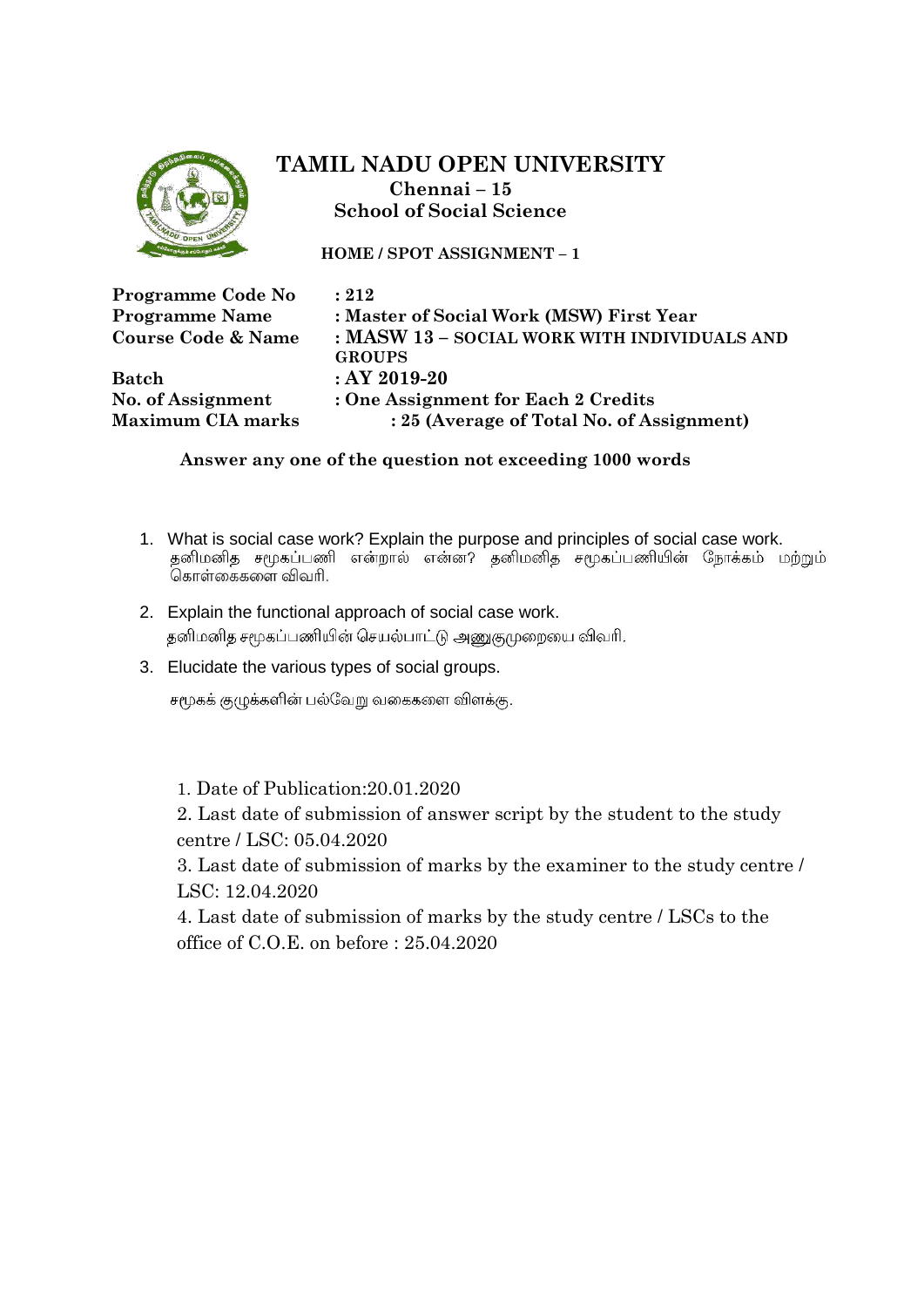

**HOME / SPOT ASSIGNMENT – 1**

| Programme Code No             | : 212                                        |
|-------------------------------|----------------------------------------------|
| <b>Programme Name</b>         | : Master of Social Work (MSW) First Year     |
| <b>Course Code &amp; Name</b> | : MASW 13 - SOCIAL WORK WITH INDIVIDUALS AND |
|                               | <b>GROUPS</b>                                |
| <b>Batch</b>                  | $:AY2019-20$                                 |
| No. of Assignment             | : One Assignment for Each 2 Credits          |
| <b>Maximum CIA marks</b>      | : 25 (Average of Total No. of Assignment)    |

#### **Answer any one of the question not exceeding 1000 words**

- 1. What is social case work? Explain the purpose and principles of social case work.<br>தனிமனித சமூகப்பணி என்றால் என்ன? தனிமனித சமூகப்பணியின் நோக்கம் மற்றும்<br>கொள்கைகளை விவரி.
- 2. Explain the functional approach of social case work. தனிமனித சமூகப்பணியின் செயல்பாட்டு அணுகுமுறையை விவரி.
- 3. Elucidate the various types of social groups.

சமூகக் குழுக்களின் பல்வேறு வகைகளை விளக்கு.

1. Date of Publication:20.01.2020

2. Last date of submission of answer script by the student to the study centre / LSC: 05.04.2020

3. Last date of submission of marks by the examiner to the study centre / LSC: 12.04.2020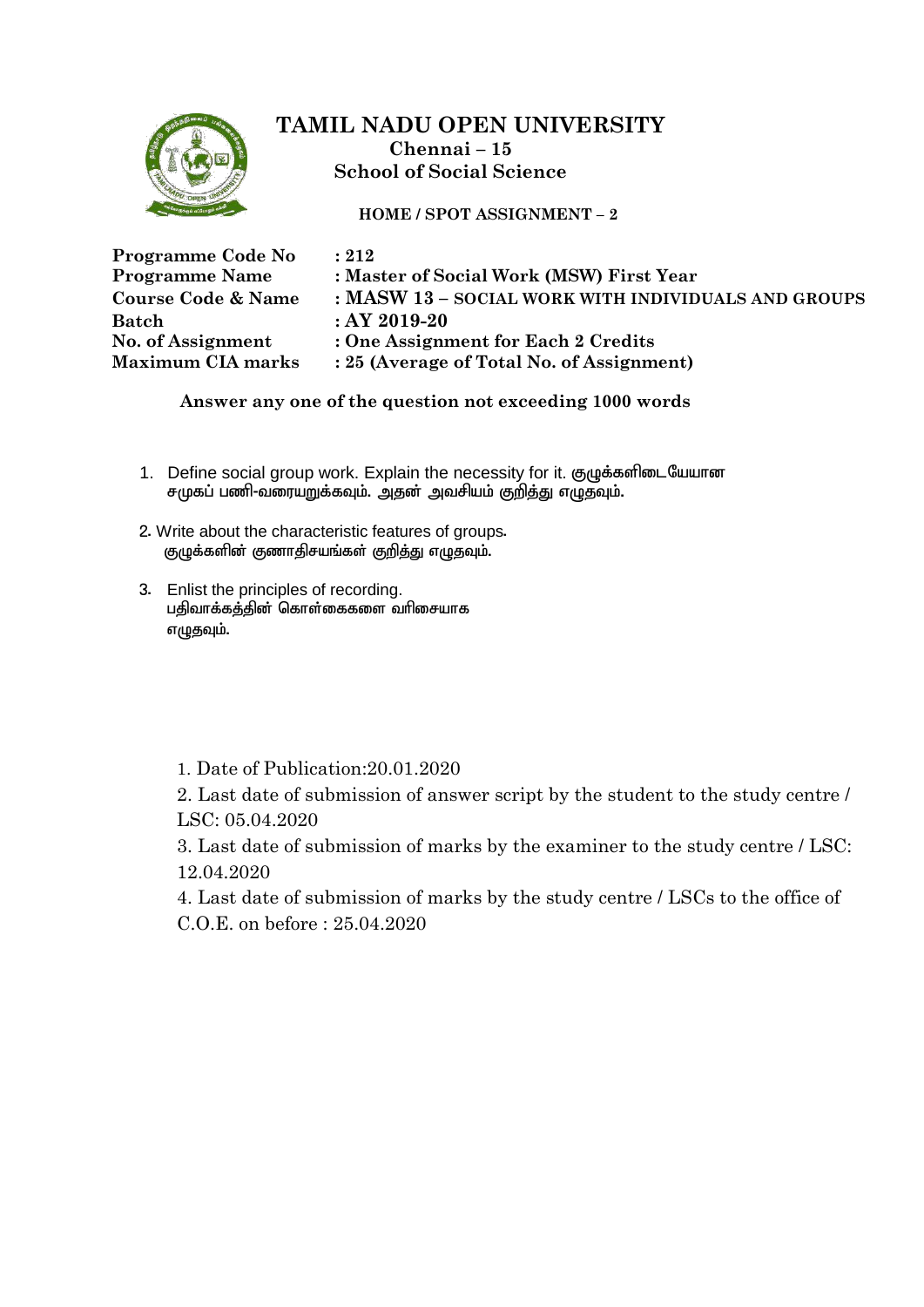

**HOME / SPOT ASSIGNMENT – 2**

| Programme Code No             | : 212                                               |
|-------------------------------|-----------------------------------------------------|
| <b>Programme Name</b>         | : Master of Social Work (MSW) First Year            |
| <b>Course Code &amp; Name</b> | : MASW 13 - SOCIAL WORK WITH INDIVIDUALS AND GROUPS |
| Batch                         | $:AY2019-20$                                        |
| No. of Assignment             | : One Assignment for Each 2 Credits                 |
| <b>Maximum CIA marks</b>      | : 25 (Average of Total No. of Assignment)           |

 **Answer any one of the question not exceeding 1000 words**

- 1. Define social group work. Explain the necessity for it. குழுக்களிடையேயான சமுகப் பணி-வரையறுக்கவும். அதன் அவசியம் குறித்து எழுதவும்.
- 2. Write about the characteristic features of groups. குழுக்களின் குணாதிசயங்கள் குறித்து எழுதவும்.
- 3. Enlist the principles of recording. பதிவாக்கத்தின் தொள்கைகளை வரிசையாக எழுதவும்.
	- 1. Date of Publication:20.01.2020

2. Last date of submission of answer script by the student to the study centre / LSC: 05.04.2020

3. Last date of submission of marks by the examiner to the study centre / LSC: 12.04.2020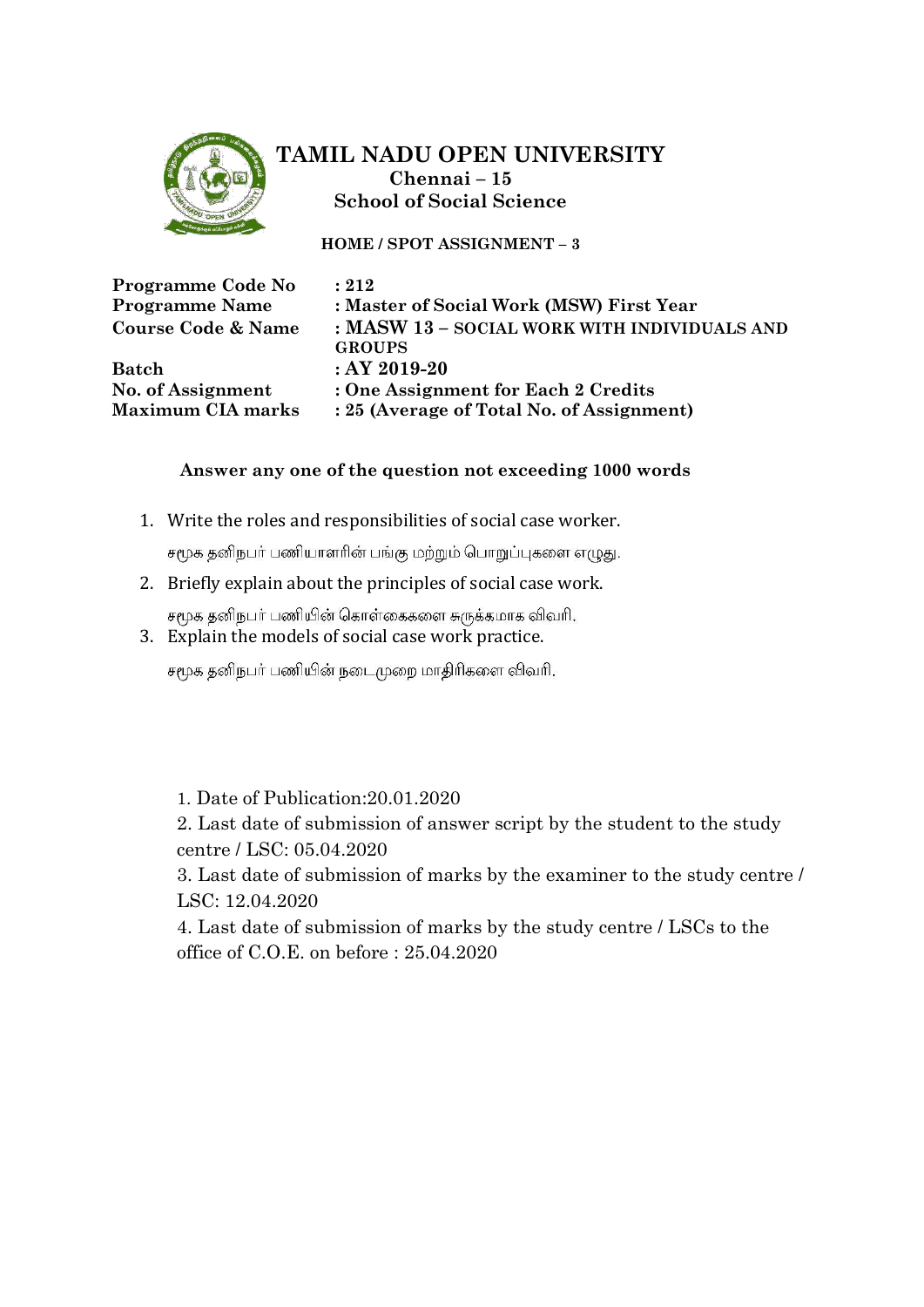

**HOME / SPOT ASSIGNMENT – 3**

| Programme Code No             | : 212                                        |
|-------------------------------|----------------------------------------------|
| <b>Programme Name</b>         | : Master of Social Work (MSW) First Year     |
| <b>Course Code &amp; Name</b> | : MASW 13 - SOCIAL WORK WITH INDIVIDUALS AND |
|                               | <b>GROUPS</b>                                |
| <b>Batch</b>                  | $:AY2019-20$                                 |
| No. of Assignment             | : One Assignment for Each 2 Credits          |
| <b>Maximum CIA marks</b>      | : 25 (Average of Total No. of Assignment)    |

### **Answer any one of the question not exceeding 1000 words**

1. Write the roles and responsibilities of social case worker.

சமூக தனிநபர் பணியாளரின் பங்கு மற்றும் பொறுப்புகளை எழுது.

2. Briefly explain about the principles of social case work.

சமூக தனிநபர் பணியின் கொள்கைகளை சுருக்கமாக விவரி.

3. Explain the models of social case work practice.

சமூக தனிநபர் பணியின் நடைமுறை மாதிரிகளை விவரி.

1. Date of Publication:20.01.2020

2. Last date of submission of answer script by the student to the study centre / LSC: 05.04.2020

3. Last date of submission of marks by the examiner to the study centre / LSC: 12.04.2020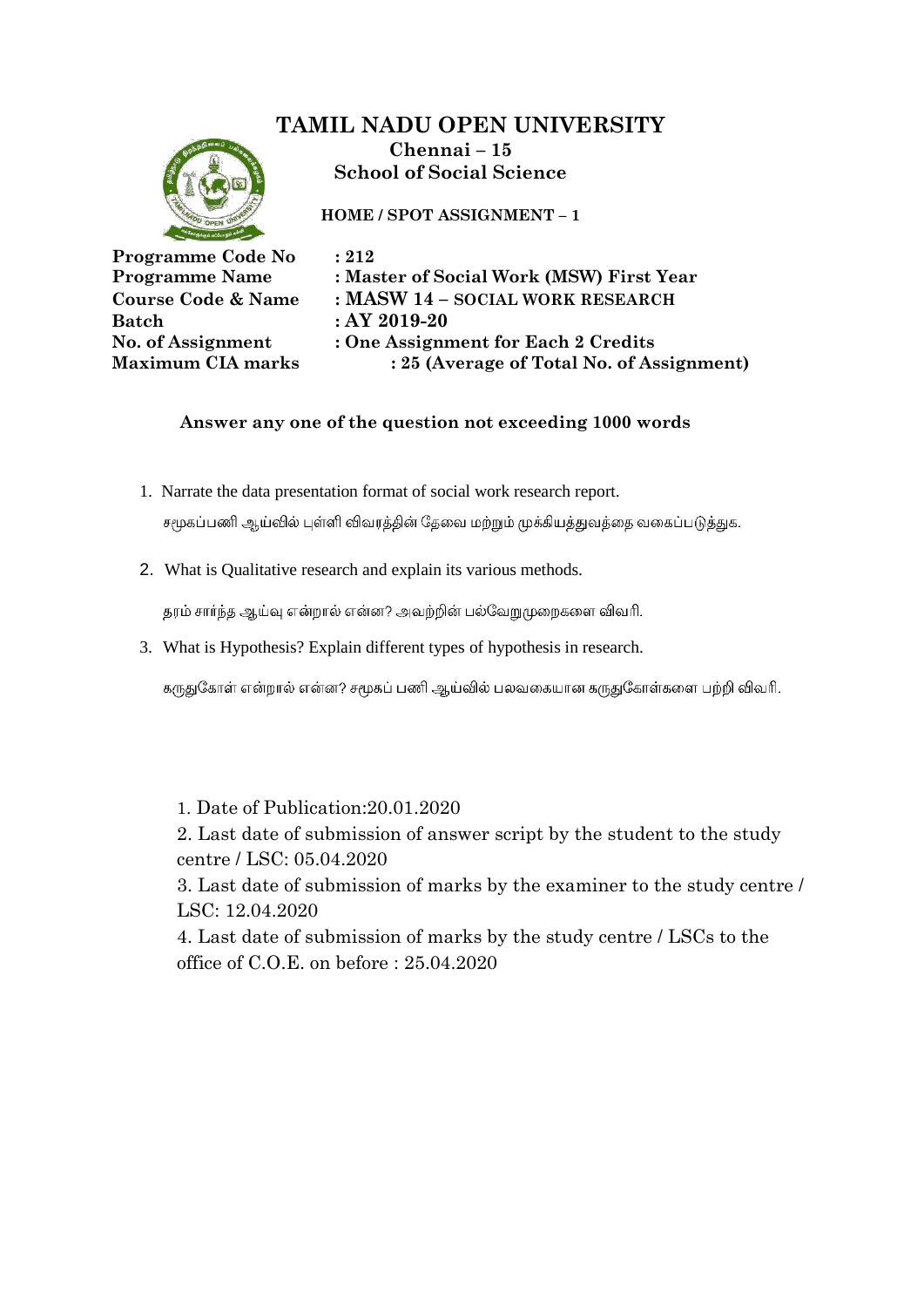# **TAMIL NADU OPEN UNIVERSITY**



**Chennai – 15 School of Social Science**

**HOME / SPOT ASSIGNMENT – 1**

| Programme Code No             |
|-------------------------------|
| <b>Programme Name</b>         |
| <b>Course Code &amp; Name</b> |
| <b>Batch</b>                  |
| No. of Assignment             |
| <b>Maximum CIA marks</b>      |
|                               |

 $$ **Programme Name : Master of Social Work (MSW) First Year Course Code & Name : MASW 14 – SOCIAL WORK RESEARCH**

**Batch : AY 2019-20**

**No. of Assignment : One Assignment for Each 2 Credits**

**: 25 (Average of Total No. of Assignment)** 

### **Answer any one of the question not exceeding 1000 words**

1. Narrate the data presentation format of social work research report.

சமூகப்பணி ஆய்வில் புள்ளி விவரத்தின் தேவை மற்றும் முக்கியத்துவத்தை வகைப்படுத்துக.

2. What is Qualitative research and explain its various methods.

தரம் சார்ந்த ஆய்வு என்றால் என்ன? அவற்றின் பல்வேறுமுறைகளை விவரி.

3. What is Hypothesis? Explain different types of hypothesis in research.

கருதுகோள் என்றால் என்ன? சமூகப் பணி ஆய்வில் பலவகையான கருதுகோள்களை பற்றி விவரி.

1. Date of Publication:20.01.2020

2. Last date of submission of answer script by the student to the study centre / LSC: 05.04.2020

3. Last date of submission of marks by the examiner to the study centre / LSC: 12.04.2020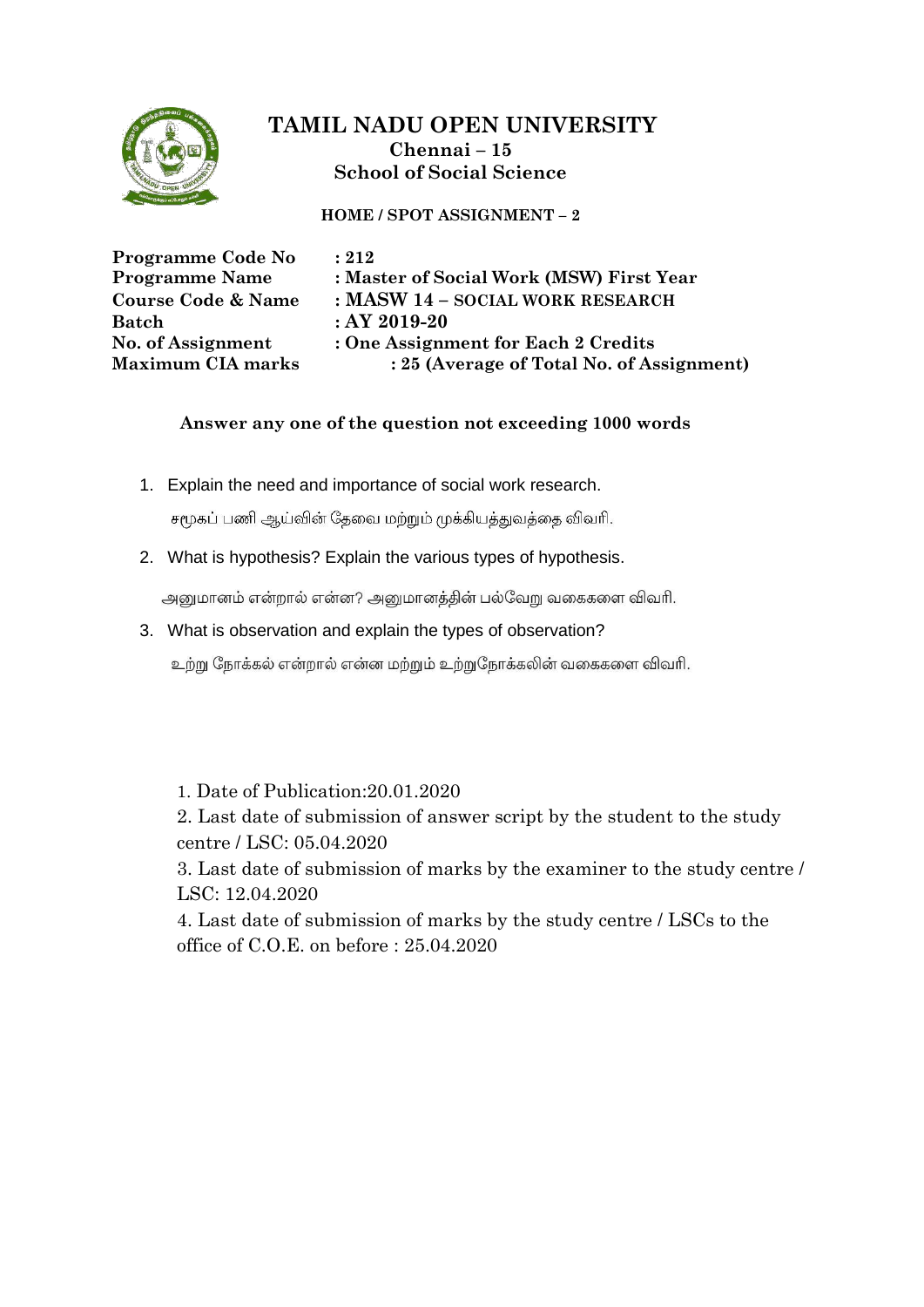

**HOME / SPOT ASSIGNMENT – 2**

| Programme Code No             | : 212                                     |
|-------------------------------|-------------------------------------------|
| <b>Programme Name</b>         | : Master of Social Work (MSW) First Year  |
| <b>Course Code &amp; Name</b> | : MASW 14 - SOCIAL WORK RESEARCH          |
| <b>Batch</b>                  | $:AY2019-20$                              |
| No. of Assignment             | : One Assignment for Each 2 Credits       |
| <b>Maximum CIA marks</b>      | : 25 (Average of Total No. of Assignment) |

### **Answer any one of the question not exceeding 1000 words**

1. Explain the need and importance of social work research.

சமூகப் பணி ஆய்வின் தேவை மற்றும் முக்கியத்துவத்தை விவரி.

2. What is hypothesis? Explain the various types of hypothesis.

அனுமானம் என்றால் என்ன? அனுமானத்தின் பல்வேறு வகைகளை விவரி.

3. What is observation and explain the types of observation?

உற்று நோக்கல் என்றால் என்ன மற்றும் உற்றுநோக்கலின் வகைகளை விவரி.

1. Date of Publication:20.01.2020

2. Last date of submission of answer script by the student to the study centre / LSC: 05.04.2020

3. Last date of submission of marks by the examiner to the study centre / LSC: 12.04.2020